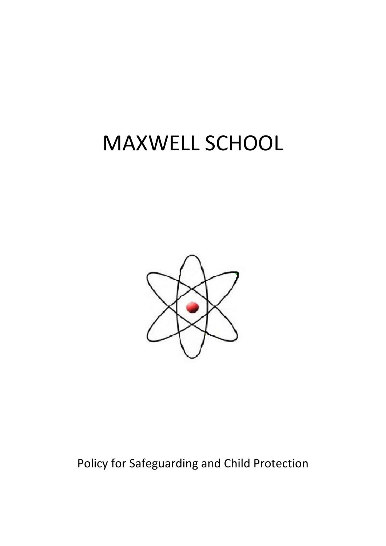# MAXWELL SCHOOL



Policy for Safeguarding and Child Protection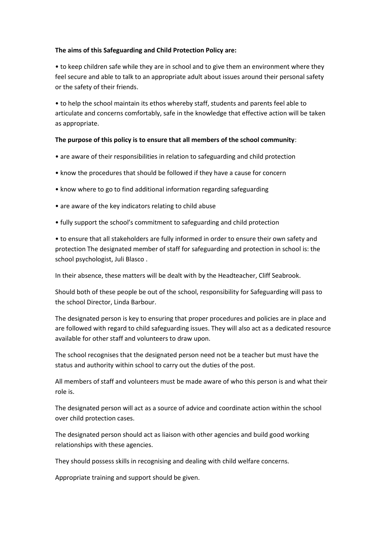#### **The aims of this Safeguarding and Child Protection Policy are:**

• to keep children safe while they are in school and to give them an environment where they feel secure and able to talk to an appropriate adult about issues around their personal safety or the safety of their friends.

• to help the school maintain its ethos whereby staff, students and parents feel able to articulate and concerns comfortably, safe in the knowledge that effective action will be taken as appropriate.

### **The purpose of this policy is to ensure that all members of the school community**:

- are aware of their responsibilities in relation to safeguarding and child protection
- know the procedures that should be followed if they have a cause for concern
- know where to go to find additional information regarding safeguarding
- are aware of the key indicators relating to child abuse
- fully support the school's commitment to safeguarding and child protection

• to ensure that all stakeholders are fully informed in order to ensure their own safety and protection The designated member of staff for safeguarding and protection in school is: the school psychologist, Juli Blasco .

In their absence, these matters will be dealt with by the Headteacher, Cliff Seabrook.

Should both of these people be out of the school, responsibility for Safeguarding will pass to the school Director, Linda Barbour.

The designated person is key to ensuring that proper procedures and policies are in place and are followed with regard to child safeguarding issues. They will also act as a dedicated resource available for other staff and volunteers to draw upon.

The school recognises that the designated person need not be a teacher but must have the status and authority within school to carry out the duties of the post.

All members of staff and volunteers must be made aware of who this person is and what their role is.

The designated person will act as a source of advice and coordinate action within the school over child protection cases.

The designated person should act as liaison with other agencies and build good working relationships with these agencies.

They should possess skills in recognising and dealing with child welfare concerns.

Appropriate training and support should be given.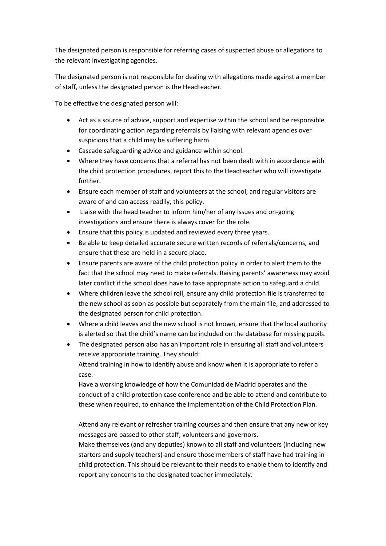The designated person is responsible for referring cases of suspected abuse or allegations to the relevant investigating agencies.

The designated person is not responsible for dealing with allegations made against a member of staff, unless the designated person is the Headteacher.

To be effective the designated person will:

- Act as a source of advice, support and expertise within the school and be responsible for coordinating action regarding referrals by liaising with relevant agencies over suspicions that a child may be suffering harm.
- Cascade safeguarding advice and guidance within school.
- Where they have concerns that a referral has not been dealt with in accordance with the child protection procedures, report this to the Headteacher who will investigate further.
- Ensure each member of staff and volunteers at the school, and regular visitors are aware of and can access readily, this policy.
- Liaise with the head teacher to inform him/her of any issues and on-going investigations and ensure there is always cover for the role.
- Ensure that this policy is updated and reviewed every three years.
- Be able to keep detailed accurate secure written records of referrals/concerns, and ensure that these are held in a secure place.
- Ensure parents are aware of the child protection policy in order to alert them to the fact that the school may need to make referrals. Raising parents' awareness may avoid later conflict if the school does have to take appropriate action to safeguard a child.
- Where children leave the school roll, ensure any child protection file is transferred to the new school as soon as possible but separately from the main file, and addressed to the designated person for child protection.
- Where a child leaves and the new school is not known, ensure that the local authority is alerted so that the child's name can be included on the database for missing pupils.
- The designated person also has an important role in ensuring all staff and volunteers receive appropriate training. They should: Attend training in how to identify abuse and know when it is appropriate to refer a case.

Have a working knowledge of how the Comunidad de Madrid operates and the conduct of a child protection case conference and be able to attend and contribute to these when required, to enhance the implementation of the Child Protection Plan.

Attend any relevant or refresher training courses and then ensure that any new or key messages are passed to other staff, volunteers and governors.

Make themselves (and any deputies) known to all staff and volunteers (including new starters and supply teachers) and ensure those members of staff have had training in child protection. This should be relevant to their needs to enable them to identify and report any concerns to the designated teacher immediately.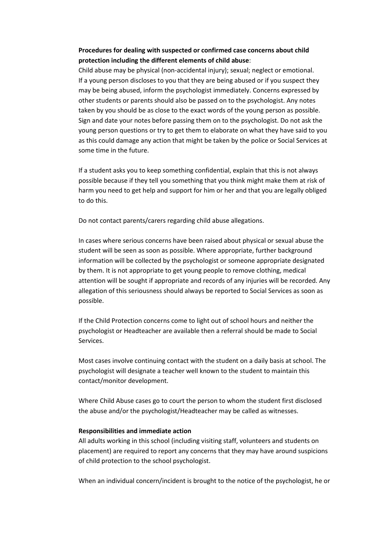## **Procedures for dealing with suspected or confirmed case concerns about child protection including the different elements of child abuse**:

Child abuse may be physical (non-accidental injury); sexual; neglect or emotional. If a young person discloses to you that they are being abused or if you suspect they may be being abused, inform the psychologist immediately. Concerns expressed by other students or parents should also be passed on to the psychologist. Any notes taken by you should be as close to the exact words of the young person as possible. Sign and date your notes before passing them on to the psychologist. Do not ask the young person questions or try to get them to elaborate on what they have said to you as this could damage any action that might be taken by the police or Social Services at some time in the future.

If a student asks you to keep something confidential, explain that this is not always possible because if they tell you something that you think might make them at risk of harm you need to get help and support for him or her and that you are legally obliged to do this.

Do not contact parents/carers regarding child abuse allegations.

In cases where serious concerns have been raised about physical or sexual abuse the student will be seen as soon as possible. Where appropriate, further background information will be collected by the psychologist or someone appropriate designated by them. It is not appropriate to get young people to remove clothing, medical attention will be sought if appropriate and records of any injuries will be recorded. Any allegation of this seriousness should always be reported to Social Services as soon as possible.

If the Child Protection concerns come to light out of school hours and neither the psychologist or Headteacher are available then a referral should be made to Social Services.

Most cases involve continuing contact with the student on a daily basis at school. The psychologist will designate a teacher well known to the student to maintain this contact/monitor development.

Where Child Abuse cases go to court the person to whom the student first disclosed the abuse and/or the psychologist/Headteacher may be called as witnesses.

#### **Responsibilities and immediate action**

All adults working in this school (including visiting staff, volunteers and students on placement) are required to report any concerns that they may have around suspicions of child protection to the school psychologist.

When an individual concern/incident is brought to the notice of the psychologist, he or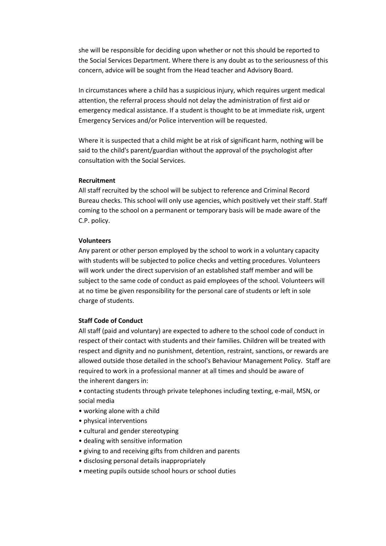she will be responsible for deciding upon whether or not this should be reported to the Social Services Department. Where there is any doubt as to the seriousness of this concern, advice will be sought from the Head teacher and Advisory Board.

In circumstances where a child has a suspicious injury, which requires urgent medical attention, the referral process should not delay the administration of first aid or emergency medical assistance. If a student is thought to be at immediate risk, urgent Emergency Services and/or Police intervention will be requested.

Where it is suspected that a child might be at risk of significant harm, nothing will be said to the child's parent/guardian without the approval of the psychologist after consultation with the Social Services.

#### **Recruitment**

All staff recruited by the school will be subject to reference and Criminal Record Bureau checks. This school will only use agencies, which positively vet their staff. Staff coming to the school on a permanent or temporary basis will be made aware of the C.P. policy.

#### **Volunteers**

Any parent or other person employed by the school to work in a voluntary capacity with students will be subjected to police checks and vetting procedures. Volunteers will work under the direct supervision of an established staff member and will be subject to the same code of conduct as paid employees of the school. Volunteers will at no time be given responsibility for the personal care of students or left in sole charge of students.

#### **Staff Code of Conduct**

All staff (paid and voluntary) are expected to adhere to the school code of conduct in respect of their contact with students and their families. Children will be treated with respect and dignity and no punishment, detention, restraint, sanctions, or rewards are allowed outside those detailed in the school's Behaviour Management Policy. Staff are required to work in a professional manner at all times and should be aware of the inherent dangers in:

• contacting students through private telephones including texting, e-mail, MSN, or social media

- working alone with a child
- physical interventions
- cultural and gender stereotyping
- dealing with sensitive information
- giving to and receiving gifts from children and parents
- disclosing personal details inappropriately
- meeting pupils outside school hours or school duties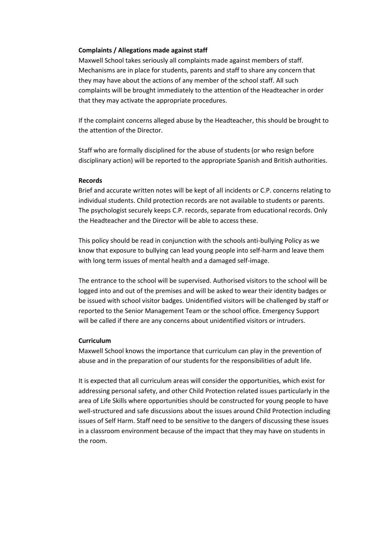#### **Complaints / Allegations made against staff**

Maxwell School takes seriously all complaints made against members of staff. Mechanisms are in place for students, parents and staff to share any concern that they may have about the actions of any member of the school staff. All such complaints will be brought immediately to the attention of the Headteacher in order that they may activate the appropriate procedures.

If the complaint concerns alleged abuse by the Headteacher, this should be brought to the attention of the Director.

Staff who are formally disciplined for the abuse of students (or who resign before disciplinary action) will be reported to the appropriate Spanish and British authorities.

#### **Records**

Brief and accurate written notes will be kept of all incidents or C.P. concerns relating to individual students. Child protection records are not available to students or parents. The psychologist securely keeps C.P. records, separate from educational records. Only the Headteacher and the Director will be able to access these.

This policy should be read in conjunction with the schools anti-bullying Policy as we know that exposure to bullying can lead young people into self-harm and leave them with long term issues of mental health and a damaged self-image.

The entrance to the school will be supervised. Authorised visitors to the school will be logged into and out of the premises and will be asked to wear their identity badges or be issued with school visitor badges. Unidentified visitors will be challenged by staff or reported to the Senior Management Team or the school office. Emergency Support will be called if there are any concerns about unidentified visitors or intruders.

#### **Curriculum**

Maxwell School knows the importance that curriculum can play in the prevention of abuse and in the preparation of our students for the responsibilities of adult life.

It is expected that all curriculum areas will consider the opportunities, which exist for addressing personal safety, and other Child Protection related issues particularly in the area of Life Skills where opportunities should be constructed for young people to have well-structured and safe discussions about the issues around Child Protection including issues of Self Harm. Staff need to be sensitive to the dangers of discussing these issues in a classroom environment because of the impact that they may have on students in the room.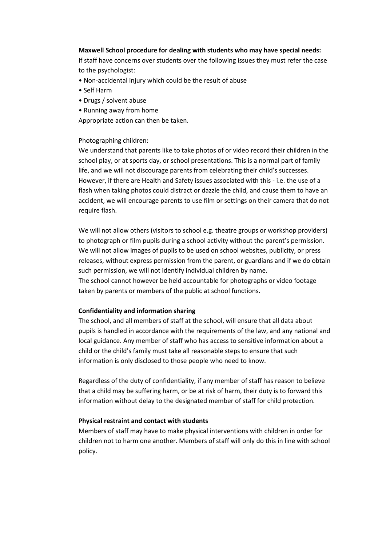#### **Maxwell School procedure for dealing with students who may have special needs:**

If staff have concerns over students over the following issues they must refer the case to the psychologist:

- Non-accidental injury which could be the result of abuse
- Self Harm
- Drugs / solvent abuse
- Running away from home

Appropriate action can then be taken.

#### Photographing children:

We understand that parents like to take photos of or video record their children in the school play, or at sports day, or school presentations. This is a normal part of family life, and we will not discourage parents from celebrating their child's successes. However, if there are Health and Safety issues associated with this - i.e. the use of a flash when taking photos could distract or dazzle the child, and cause them to have an accident, we will encourage parents to use film or settings on their camera that do not require flash.

We will not allow others (visitors to school e.g. theatre groups or workshop providers) to photograph or film pupils during a school activity without the parent's permission. We will not allow images of pupils to be used on school websites, publicity, or press releases, without express permission from the parent, or guardians and if we do obtain such permission, we will not identify individual children by name. The school cannot however be held accountable for photographs or video footage taken by parents or members of the public at school functions.

#### **Confidentiality and information sharing**

The school, and all members of staff at the school, will ensure that all data about pupils is handled in accordance with the requirements of the law, and any national and local guidance. Any member of staff who has access to sensitive information about a child or the child's family must take all reasonable steps to ensure that such information is only disclosed to those people who need to know.

Regardless of the duty of confidentiality, if any member of staff has reason to believe that a child may be suffering harm, or be at risk of harm, their duty is to forward this information without delay to the designated member of staff for child protection.

#### **Physical restraint and contact with students**

Members of staff may have to make physical interventions with children in order for children not to harm one another. Members of staff will only do this in line with school policy.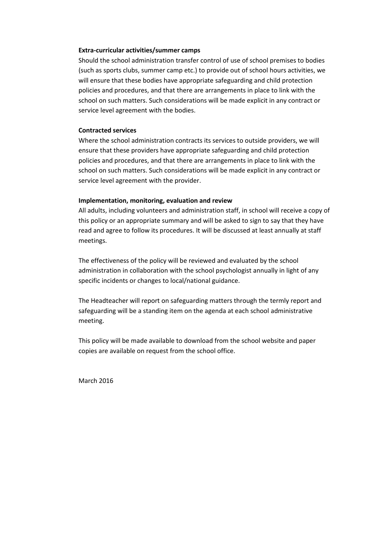#### **Extra-curricular activities/summer camps**

Should the school administration transfer control of use of school premises to bodies (such as sports clubs, summer camp etc.) to provide out of school hours activities, we will ensure that these bodies have appropriate safeguarding and child protection policies and procedures, and that there are arrangements in place to link with the school on such matters. Such considerations will be made explicit in any contract or service level agreement with the bodies.

#### **Contracted services**

Where the school administration contracts its services to outside providers, we will ensure that these providers have appropriate safeguarding and child protection policies and procedures, and that there are arrangements in place to link with the school on such matters. Such considerations will be made explicit in any contract or service level agreement with the provider.

#### **Implementation, monitoring, evaluation and review**

All adults, including volunteers and administration staff, in school will receive a copy of this policy or an appropriate summary and will be asked to sign to say that they have read and agree to follow its procedures. It will be discussed at least annually at staff meetings.

The effectiveness of the policy will be reviewed and evaluated by the school administration in collaboration with the school psychologist annually in light of any specific incidents or changes to local/national guidance.

The Headteacher will report on safeguarding matters through the termly report and safeguarding will be a standing item on the agenda at each school administrative meeting.

This policy will be made available to download from the school website and paper copies are available on request from the school office.

March 2016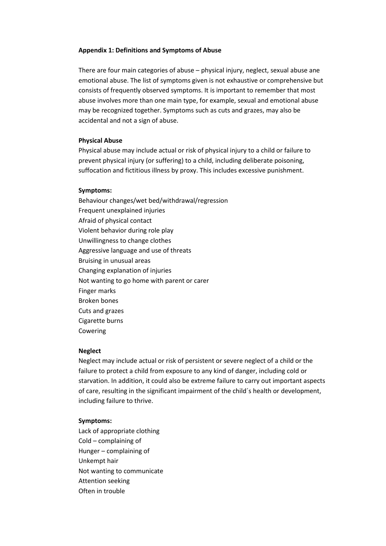#### **Appendix 1: Definitions and Symptoms of Abuse**

There are four main categories of abuse – physical injury, neglect, sexual abuse ane emotional abuse. The list of symptoms given is not exhaustive or comprehensive but consists of frequently observed symptoms. It is important to remember that most abuse involves more than one main type, for example, sexual and emotional abuse may be recognized together. Symptoms such as cuts and grazes, may also be accidental and not a sign of abuse.

#### **Physical Abuse**

Physical abuse may include actual or risk of physical injury to a child or failure to prevent physical injury (or suffering) to a child, including deliberate poisoning, suffocation and fictitious illness by proxy. This includes excessive punishment.

#### **Symptoms:**

Behaviour changes/wet bed/withdrawal/regression Frequent unexplained injuries Afraid of physical contact Violent behavior during role play Unwillingness to change clothes Aggressive language and use of threats Bruising in unusual areas Changing explanation of injuries Not wanting to go home with parent or carer Finger marks Broken bones Cuts and grazes Cigarette burns Cowering

#### **Neglect**

Neglect may include actual or risk of persistent or severe neglect of a child or the failure to protect a child from exposure to any kind of danger, including cold or starvation. In addition, it could also be extreme failure to carry out important aspects of care, resulting in the significant impairment of the child´s health or development, including failure to thrive.

#### **Symptoms:**

Lack of appropriate clothing Cold – complaining of Hunger – complaining of Unkempt hair Not wanting to communicate Attention seeking Often in trouble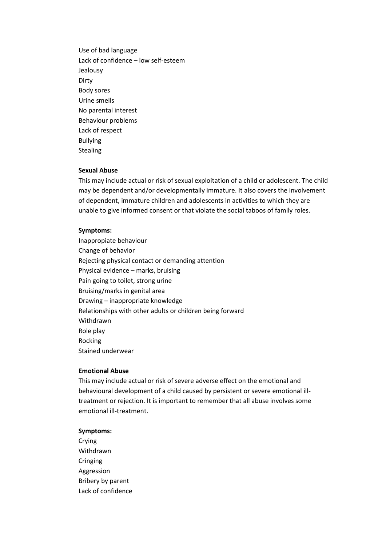Use of bad language Lack of confidence – low self-esteem Jealousy Dirty Body sores Urine smells No parental interest Behaviour problems Lack of respect Bullying Stealing

#### **Sexual Abuse**

This may include actual or risk of sexual exploitation of a child or adolescent. The child may be dependent and/or developmentally immature. It also covers the involvement of dependent, immature children and adolescents in activities to which they are unable to give informed consent or that violate the social taboos of family roles.

#### **Symptoms:**

Inappropiate behaviour Change of behavior Rejecting physical contact or demanding attention Physical evidence – marks, bruising Pain going to toilet, strong urine Bruising/marks in genital area Drawing – inappropriate knowledge Relationships with other adults or children being forward Withdrawn Role play Rocking Stained underwear

#### **Emotional Abuse**

This may include actual or risk of severe adverse effect on the emotional and behavioural development of a child caused by persistent or severe emotional illtreatment or rejection. It is important to remember that all abuse involves some emotional ill-treatment.

#### **Symptoms:**

Crying Withdrawn Cringing Aggression Bribery by parent Lack of confidence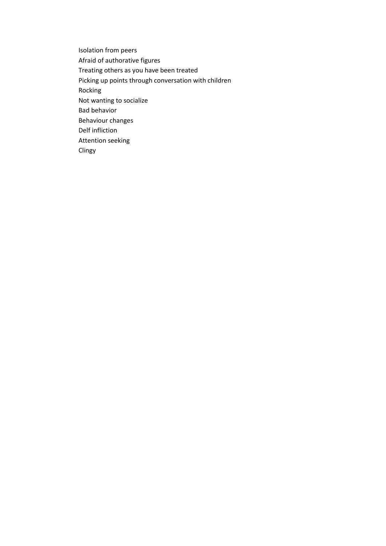Isolation from peers Afraid of authorative figures Treating others as you have been treated Picking up points through conversation with children Rocking Not wanting to socialize Bad behavior Behaviour changes Delf infliction Attention seeking Clingy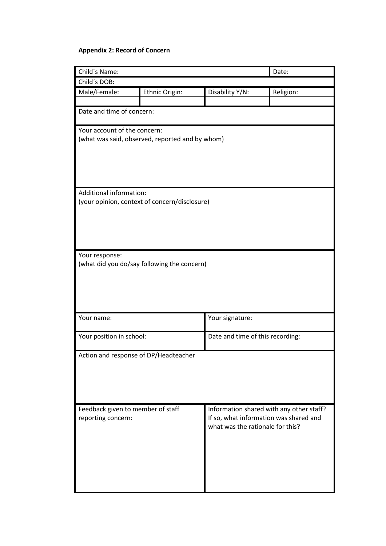# **Appendix 2: Record of Concern**

| Child's Name:                                   |                                               |                                                                            | Date:     |  |  |
|-------------------------------------------------|-----------------------------------------------|----------------------------------------------------------------------------|-----------|--|--|
| Child's DOB:                                    |                                               |                                                                            |           |  |  |
| Male/Female:                                    | Ethnic Origin:                                | Disability Y/N:                                                            | Religion: |  |  |
|                                                 |                                               |                                                                            |           |  |  |
| Date and time of concern:                       |                                               |                                                                            |           |  |  |
| Your account of the concern:                    |                                               |                                                                            |           |  |  |
| (what was said, observed, reported and by whom) |                                               |                                                                            |           |  |  |
|                                                 |                                               |                                                                            |           |  |  |
|                                                 |                                               |                                                                            |           |  |  |
|                                                 |                                               |                                                                            |           |  |  |
| Additional information:                         |                                               |                                                                            |           |  |  |
|                                                 | (your opinion, context of concern/disclosure) |                                                                            |           |  |  |
|                                                 |                                               |                                                                            |           |  |  |
|                                                 |                                               |                                                                            |           |  |  |
|                                                 |                                               |                                                                            |           |  |  |
|                                                 |                                               |                                                                            |           |  |  |
| Your response:                                  |                                               |                                                                            |           |  |  |
|                                                 | (what did you do/say following the concern)   |                                                                            |           |  |  |
|                                                 |                                               |                                                                            |           |  |  |
|                                                 |                                               |                                                                            |           |  |  |
|                                                 |                                               |                                                                            |           |  |  |
|                                                 |                                               |                                                                            |           |  |  |
| Your name:                                      |                                               | Your signature:                                                            |           |  |  |
| Your position in school:                        |                                               | Date and time of this recording:                                           |           |  |  |
|                                                 |                                               |                                                                            |           |  |  |
| Action and response of DP/Headteacher           |                                               |                                                                            |           |  |  |
|                                                 |                                               |                                                                            |           |  |  |
|                                                 |                                               |                                                                            |           |  |  |
|                                                 |                                               |                                                                            |           |  |  |
|                                                 |                                               |                                                                            |           |  |  |
| Feedback given to member of staff               |                                               | Information shared with any other staff?                                   |           |  |  |
| reporting concern:                              |                                               | If so, what information was shared and<br>what was the rationale for this? |           |  |  |
|                                                 |                                               |                                                                            |           |  |  |
|                                                 |                                               |                                                                            |           |  |  |
|                                                 |                                               |                                                                            |           |  |  |
|                                                 |                                               |                                                                            |           |  |  |
|                                                 |                                               |                                                                            |           |  |  |
|                                                 |                                               |                                                                            |           |  |  |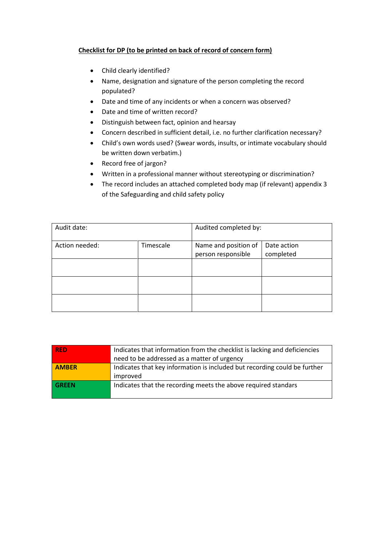# **Checklist for DP (to be printed on back of record of concern form)**

- Child clearly identified?
- Name, designation and signature of the person completing the record populated?
- Date and time of any incidents or when a concern was observed?
- Date and time of written record?
- Distinguish between fact, opinion and hearsay
- Concern described in sufficient detail, i.e. no further clarification necessary?
- Child's own words used? (Swear words, insults, or intimate vocabulary should be written down verbatim.)
- Record free of jargon?
- Written in a professional manner without stereotyping or discrimination?
- The record includes an attached completed body map (if relevant) appendix 3 of the Safeguarding and child safety policy

| Audit date:    |           | Audited completed by:                      |                          |
|----------------|-----------|--------------------------------------------|--------------------------|
| Action needed: | Timescale | Name and position of<br>person responsible | Date action<br>completed |
|                |           |                                            |                          |
|                |           |                                            |                          |
|                |           |                                            |                          |

| <b>RED</b>   | Indicates that information from the checklist is lacking and deficiencies |  |  |
|--------------|---------------------------------------------------------------------------|--|--|
|              | need to be addressed as a matter of urgency                               |  |  |
| <b>AMBER</b> | Indicates that key information is included but recording could be further |  |  |
|              | improved                                                                  |  |  |
| <b>GREEN</b> | Indicates that the recording meets the above required standars            |  |  |
|              |                                                                           |  |  |